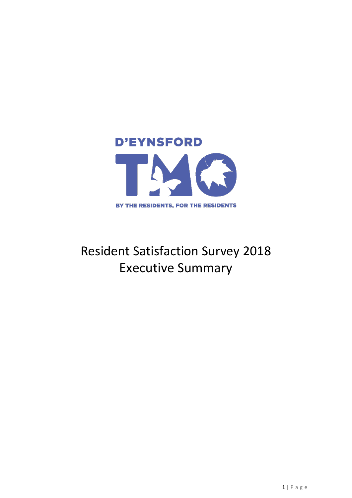

# Resident Satisfaction Survey 2018 Executive Summary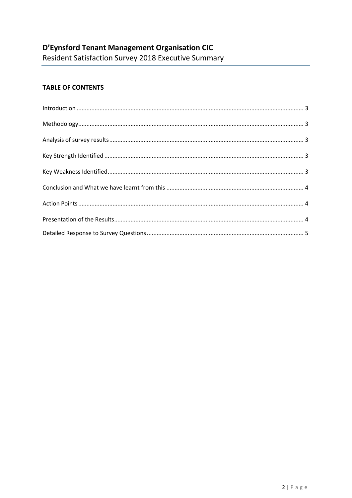## **TABLE OF CONTENTS**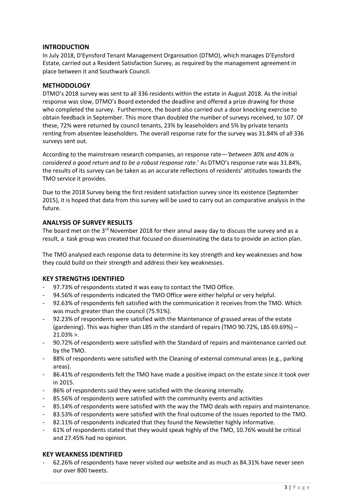## **INTRODUCTION**

In July 2018, D'Eynsford Tenant Management Organisation (DTMO), which manages D'Eynsford Estate, carried out a Resident Satisfaction Survey, as required by the management agreement in place between it and Southwark Council.

## **METHODOLOGY**

DTMO's 2018 survey was sent to all 336 residents within the estate in August 2018. As the initial response was slow, DTMO's Board extended the deadline and offered a prize drawing for those who completed the survey. Furthermore, the board also carried out a door knocking exercise to obtain feedback in September. This more than doubled the number of surveys received, to 107. Of these, 72% were returned by council tenants, 23% by leaseholders and 5% by private tenants renting from absentee leaseholders. The overall response rate for the survey was 31.84% of all 336 surveys sent out.

According to the mainstream research companies, an response rate*—'between 30% and 40% is considered a good return and to be a robust response rate*.' As DTMO's response rate was 31.84%, the results of its survey can be taken as an accurate reflections of residents' attitudes towards the TMO service it provides.

Due to the 2018 Survey being the first resident satisfaction survey since its existence (September 2015), it is hoped that data from this survey will be used to carry out an comparative analysis in the future.

## **ANALYSIS OF SURVEY RESULTS**

The board met on the  $3^{rd}$  November 2018 for their annul away day to discuss the survey and as a result, a task group was created that focused on disseminating the data to provide an action plan.

The TMO analysed each response data to determine its key strength and key weaknesses and how they could build on their strength and address their key weaknesses.

## **KEY STRENGTHS IDENTIFIED**

- 97.73% of respondents stated it was easy to contact the TMO Office.
- 94.56% of respondents indicated the TMO Office were either helpful or very helpful.
- 92.63% of respondents felt satisfied with the communication it receives from the TMO. Which was much greater than the council (75.91%).
- 92.23% of respondents were satisfied with the Maintenance of grassed areas of the estate (gardening). This was higher than LBS in the standard of repairs (TMO 90.72%, LBS 69.69%) – 21.03% >.
- 90.72% of respondents were satisfied with the Standard of repairs and maintenance carried out by the TMO.
- 88% of respondents were satisfied with the Cleaning of external communal areas (e.g., parking areas).
- 86.41% of respondents felt the TMO have made a positive impact on the estate since it took over in 2015.
- 86% of respondents said they were satisfied with the cleaning internally.
- 85.56% of respondents were satisfied with the community events and activities
- 85.14% of respondents were satisfied with the way the TMO deals with repairs and maintenance.
- 83.53% of respondents were satisfied with the final outcome of the issues reported to the TMO.
- 82.11% of respondents indicated that they found the Newsletter highly informative.
- 61% of respondents stated that they would speak highly of the TMO, 10.76% would be critical and 27.45% had no opinion.

#### **KEY WEAKNESS IDENTIFIED**

- 62.26% of respondents have never visited our website and as much as 84.31% have never seen our over 800 tweets.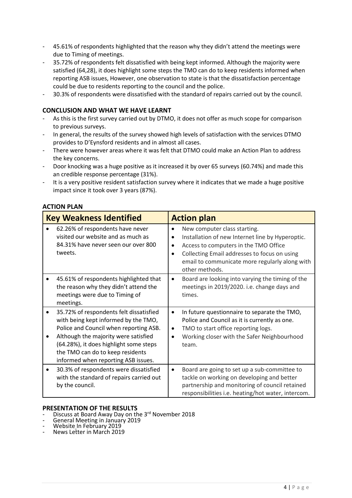- 45.61% of respondents highlighted that the reason why they didn't attend the meetings were due to Timing of meetings.
- 35.72% of respondents felt dissatisfied with being kept informed. Although the majority were satisfied (64,28), it does highlight some steps the TMO can do to keep residents informed when reporting ASB issues, However, one observation to state is that the dissatisfaction percentage could be due to residents reporting to the council and the police.
- 30.3% of respondents were dissatisfied with the standard of repairs carried out by the council.

## **CONCLUSION AND WHAT WE HAVE LEARNT**

- As this is the first survey carried out by DTMO, it does not offer as much scope for comparison to previous surveys.
- In general, the results of the survey showed high levels of satisfaction with the services DTMO provides to D'Eynsford residents and in almost all cases.
- There were however areas where it was felt that DTMO could make an Action Plan to address the key concerns.
- Door knocking was a huge positive as it increased it by over 65 surveys (60.74%) and made this an credible response percentage (31%).
- It is a very positive resident satisfaction survey where it indicates that we made a huge positive impact since it took over 3 years (87%).

## **ACTION PLAN**

| <b>Key Weakness Identified</b>                                                                                                                                                                                                                                                         | <b>Action plan</b>                               |                                                                                                                                                                                                                                               |  |  |
|----------------------------------------------------------------------------------------------------------------------------------------------------------------------------------------------------------------------------------------------------------------------------------------|--------------------------------------------------|-----------------------------------------------------------------------------------------------------------------------------------------------------------------------------------------------------------------------------------------------|--|--|
| 62.26% of respondents have never<br>visited our website and as much as<br>84.31% have never seen our over 800<br>tweets.                                                                                                                                                               | $\bullet$<br>$\bullet$<br>$\bullet$<br>$\bullet$ | New computer class starting.<br>Installation of new Internet line by Hyperoptic.<br>Access to computers in the TMO Office<br>Collecting Email addresses to focus on using<br>email to communicate more regularly along with<br>other methods. |  |  |
| 45.61% of respondents highlighted that<br>the reason why they didn't attend the<br>meetings were due to Timing of<br>meetings.                                                                                                                                                         | $\bullet$                                        | Board are looking into varying the timing of the<br>meetings in 2019/2020. i.e. change days and<br>times.                                                                                                                                     |  |  |
| 35.72% of respondents felt dissatisfied<br>with being kept informed by the TMO,<br>Police and Council when reporting ASB.<br>Although the majority were satisfied<br>(64.28%), it does highlight some steps<br>the TMO can do to keep residents<br>informed when reporting ASB issues. | $\bullet$<br>$\bullet$<br>$\bullet$              | In future questionnaire to separate the TMO,<br>Police and Council as it is currently as one.<br>TMO to start office reporting logs.<br>Working closer with the Safer Neighbourhood<br>team.                                                  |  |  |
| 30.3% of respondents were dissatisfied<br>with the standard of repairs carried out<br>by the council.                                                                                                                                                                                  | $\bullet$                                        | Board are going to set up a sub-committee to<br>tackle on working on developing and better<br>partnership and monitoring of council retained<br>responsibilities i.e. heating/hot water, intercom.                                            |  |  |

#### **PRESENTATION OF THE RESULTS**

- Discuss at Board Away Day on the 3rd November 2018
- General Meeting in January 2019
- Website In February 2019
- News Letter in March 2019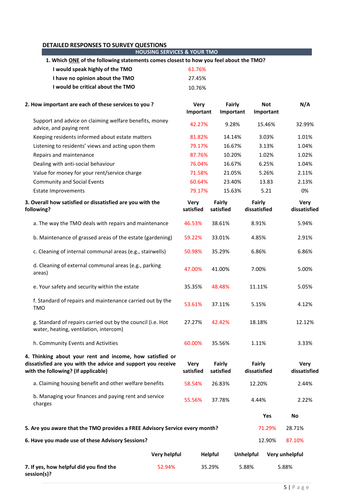#### **DETAILED RESPONSES TO SURVEY QUESTIONS HOUSING SERVICES & YOUR TMO 1. Which ONE of the following statements comes closest to how you feel about the TMO? I would speak highly of the TMO** 61.76% **I have no opinion about the TMO** 27.45% **I would be critical about the TMO** 10.76% **2. How important are each of these services to you ? Very Important Fairly Important Not Important N/A** Support and advice on claiming welfare benefits, money advice, and paying rent admining weilare benefits, money and approved advice, and paying rent and paying rent o<br>advice, and paying rent Keeping residents informed about estate matters  $81.82\%$  14.14% 3.03% 1.01% Listening to residents' views and acting upon them  $79.17\%$  16.67% 3.13% 1.04% Repairs and maintenance 1.02% 1.02% 1.02% 1.02% 1.02% Dealing with anti-social behaviour 16.04% 16.67% 6.25% 1.04% Value for money for your rent/service charge  $71.58\%$  21.05% 5.26% 2.11% Community and Social Events 60.64% 23.40% 13.83 2.13% Estate Improvements 79.17% 15.63% 5.21 0% **3. Overall how satisfied or dissatisfied are you with the following? Very satisfied Fairly satisfied Fairly dissatisfied Very dissatisfied** a. The way the TMO deals with repairs and maintenance  $46.53\%$  38.61% 8.91% 5.94% b. Maintenance of grassed areas of the estate (gardening) 59.22% 33.01% 4.85% 2.91% c. Cleaning of internal communal areas (e.g., stairwells) 50.98% 35.29% 6.86% 6.86% d. Cleaning of external communal areas (e.g., parking areas) differential distribution of the case of the case of the case of  $47.00\%$  areas) different  $47.00\%$  areas) e. Your safety and security within the estate  $35.35\%$  48.48% 11.11% 5.05% f. Standard of repairs and maintenance carried out by the 1. Standard of repairs and maintenance carried out by the distribution 37.11% 5.15% 5.15% 4.12% g. Standard of repairs carried out by the council (i.e. Hot water, heating, ventilation, intercom) 27.27% 42.42% 18.18% 12.12% h. Community Events and Activities 1.11% 1.11% 60.00% 35.56% 1.11% 3.33% **4. Thinking about your rent and income, how satisfied or dissatisfied are you with the advice and support you receive with the following? (if applicable) Very satisfied Fairly satisfied Fairly dissatisfied Very dissatisfied** a. Claiming housing benefit and other welfare benefits 58.54% 26.83% 12.20% 2.44% b. Managing your finances and paying rent and service charges 65.56% 37.78% 4.44% 2.22% 4.44% 2.22% **Yes No 5. Are you aware that the TMO provides a FREE Advisory Service every month?** 71.29% 28.71% **6. Have you made use of these Advisory Sessions?** 12.90% 87.10% **Very helpful Helpful Unhelpful Very unhelpful 7. If yes, how helpful did you find the**  52.94% 35.29% 5.88% 5.88%

**session(s)?**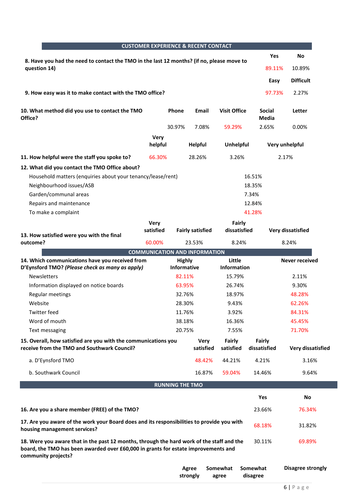|                                                                                                                                                                                                        |                 |                                     | <b>CUSTOMER EXPERIENCE &amp; RECENT CONTACT</b> |                            |                                               |                          |
|--------------------------------------------------------------------------------------------------------------------------------------------------------------------------------------------------------|-----------------|-------------------------------------|-------------------------------------------------|----------------------------|-----------------------------------------------|--------------------------|
| 8. Have you had the need to contact the TMO in the last 12 months? (if no, please move to                                                                                                              |                 |                                     |                                                 |                            | <b>Yes</b>                                    | <b>No</b>                |
| question 14)                                                                                                                                                                                           |                 |                                     |                                                 |                            | 89.11%                                        | 10.89%                   |
|                                                                                                                                                                                                        |                 |                                     |                                                 |                            | Easy                                          | <b>Difficult</b>         |
| 9. How easy was it to make contact with the TMO office?                                                                                                                                                |                 |                                     |                                                 |                            | 97.73%                                        | 2.27%                    |
| 10. What method did you use to contact the TMO<br>Office?                                                                                                                                              |                 | <b>Phone</b>                        | Email                                           | <b>Visit Office</b>        | <b>Social</b><br><b>Media</b>                 | Letter                   |
|                                                                                                                                                                                                        |                 | 30.97%                              | 7.08%                                           | 59.29%                     | 2.65%                                         | 0.00%                    |
|                                                                                                                                                                                                        | Very<br>helpful |                                     | <b>Helpful</b>                                  | <b>Unhelpful</b>           |                                               | Very unhelpful           |
| 11. How helpful were the staff you spoke to?                                                                                                                                                           | 66.30%          |                                     | 28.26%                                          | 3.26%                      |                                               | 2.17%                    |
| 12. What did you contact the TMO Office about?                                                                                                                                                         |                 |                                     |                                                 |                            |                                               |                          |
| Household matters (enquiries about your tenancy/lease/rent)<br>Neighbourhood issues/ASB<br>Garden/communal areas<br>Repairs and maintenance<br>To make a complaint                                     |                 |                                     |                                                 |                            | 16.51%<br>18.35%<br>7.34%<br>12.84%<br>41.28% |                          |
|                                                                                                                                                                                                        | <b>Very</b>     |                                     |                                                 | Fairly                     |                                               |                          |
| 13. How satisfied were you with the final                                                                                                                                                              | satisfied       |                                     | <b>Fairly satisfied</b>                         | dissatisfied               |                                               | Very dissatisfied        |
| outcome?                                                                                                                                                                                               | 60.00%          |                                     | 23.53%                                          | 8.24%                      |                                               | 8.24%                    |
|                                                                                                                                                                                                        |                 |                                     | <b>COMMUNICATION AND INFORMATION</b>            |                            |                                               |                          |
| 14. Which communications have you received from<br>D'Eynsford TMO? (Please check as many as apply)                                                                                                     |                 | <b>Highly</b><br><b>Informative</b> |                                                 | Little<br>Information      |                                               | <b>Never received</b>    |
| <b>Newsletters</b>                                                                                                                                                                                     |                 | 82.11%                              |                                                 | 15.79%                     |                                               | 2.11%                    |
| Information displayed on notice boards                                                                                                                                                                 |                 | 63.95%                              |                                                 | 26.74%                     |                                               | 9.30%                    |
| Regular meetings                                                                                                                                                                                       |                 | 32.76%                              |                                                 | 18.97%                     |                                               | 48.28%                   |
| Website                                                                                                                                                                                                |                 | 28.30%                              |                                                 | 9.43%                      |                                               | 62.26%                   |
| <b>Twitter feed</b>                                                                                                                                                                                    |                 | 11.76%                              |                                                 | 3.92%                      |                                               | 84.31%                   |
| Word of mouth                                                                                                                                                                                          |                 | 38.18%                              |                                                 | 16.36%                     |                                               | 45.45%                   |
| Text messaging                                                                                                                                                                                         |                 | 20.75%                              |                                                 | 7.55%                      |                                               | 71.70%                   |
| 15. Overall, how satisfied are you with the communications you<br>receive from the TMO and Southwark Council?                                                                                          |                 |                                     | <b>Very</b><br>satisfied                        | <b>Fairly</b><br>satisfied | <b>Fairly</b><br>dissatisfied                 | <b>Very dissatisfied</b> |
| a. D'Eynsford TMO                                                                                                                                                                                      |                 |                                     | 48.42%                                          | 44.21%                     | 4.21%                                         | 3.16%                    |
| b. Southwark Council                                                                                                                                                                                   |                 |                                     | 16.87%                                          | 59.04%                     | 14.46%                                        | 9.64%                    |
|                                                                                                                                                                                                        |                 | <b>RUNNING THE TMO</b>              |                                                 |                            |                                               |                          |
|                                                                                                                                                                                                        |                 |                                     |                                                 |                            | Yes                                           | No                       |
|                                                                                                                                                                                                        |                 |                                     |                                                 |                            |                                               |                          |
| 16. Are you a share member (FREE) of the TMO?                                                                                                                                                          |                 |                                     |                                                 |                            | 23.66%                                        | 76.34%                   |
| 17. Are you aware of the work your Board does and its responsibilities to provide you with<br>housing management services?                                                                             |                 |                                     |                                                 |                            | 68.18%                                        | 31.82%                   |
| 18. Were you aware that in the past 12 months, through the hard work of the staff and the<br>board, the TMO has been awarded over £60,000 in grants for estate improvements and<br>community projects? |                 |                                     |                                                 |                            | 30.11%                                        | 69.89%                   |
|                                                                                                                                                                                                        |                 |                                     | Agree<br>strongly                               | Somewhat<br>agree          | Somewhat<br>disagree                          | <b>Disagree strongly</b> |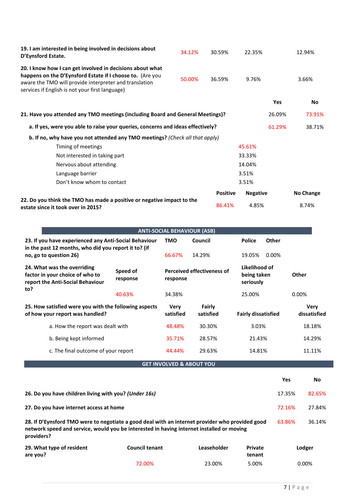| 19. I am interested in being involved in decisions about<br>D'Eynsford Estate.                                                                                                                                                      | 34.12% | 30.59%          | 22.35%          |            | 12.94%    |
|-------------------------------------------------------------------------------------------------------------------------------------------------------------------------------------------------------------------------------------|--------|-----------------|-----------------|------------|-----------|
| 20. I know how I can get involved in decisions about what<br>happens on the D'Eynsford Estate if I choose to. (Are you<br>aware the TMO will provide interpreter and translation<br>services if English is not your first language) | 50.00% | 36.59%          | 9.76%           |            | 3.66%     |
|                                                                                                                                                                                                                                     |        |                 |                 | <b>Yes</b> | <b>No</b> |
| 21. Have you attended any TMO meetings (including Board and General Meetings)?                                                                                                                                                      |        | 26.09%          | 73.91%          |            |           |
| a. If yes, were you able to raise your queries, concerns and ideas effectively?                                                                                                                                                     |        | 61.29%          | 38.71%          |            |           |
| b. If no, why have you not attended any TMO meetings? (Check all that apply)                                                                                                                                                        |        |                 |                 |            |           |
| Timing of meetings                                                                                                                                                                                                                  |        |                 | 45.61%          |            |           |
| Not interested in taking part                                                                                                                                                                                                       |        |                 | 33.33%          |            |           |
| Nervous about attending                                                                                                                                                                                                             |        |                 | 14.04%          |            |           |
| Language barrier                                                                                                                                                                                                                    |        |                 | 3.51%           |            |           |
| Don't know whom to contact                                                                                                                                                                                                          |        |                 | 3.51%           |            |           |
|                                                                                                                                                                                                                                     |        | <b>Positive</b> | <b>Negative</b> |            | No Change |
| 22. Do you think the TMO has made a positive or negative impact to the<br>estate since it took over in 2015?                                                                                                                        |        | 86.41%          | 4.85%           |            | 8.74%     |

|                                                                                                                                                                                                            |                          | <b>ANTI-SOCIAL BEHAVIOUR (ASB)</b>            |                            |                                           |                             |           |  |
|------------------------------------------------------------------------------------------------------------------------------------------------------------------------------------------------------------|--------------------------|-----------------------------------------------|----------------------------|-------------------------------------------|-----------------------------|-----------|--|
| 23. If you have experienced any Anti-Social Behaviour<br>in the past 12 months, who did you report it to? (if                                                                                              | <b>TMO</b>               | Council                                       | <b>Police</b>              | Other                                     |                             |           |  |
| no, go to question 26)                                                                                                                                                                                     | 66.67%                   | 14.29%                                        | 19.05%                     | 0.00%                                     |                             |           |  |
| 24. What was the overriding<br>factor in your choice of who to<br>report the Anti-Social Behaviour                                                                                                         | Speed of<br>response     | <b>Perceived effectiveness of</b><br>response |                            | Likelihood of<br>being taken<br>seriously |                             | Other     |  |
| to?                                                                                                                                                                                                        | 40.63%                   | 34.38%                                        |                            | 25.00%                                    |                             | 0.00%     |  |
| 25. How satisfied were you with the following aspects<br>of how your report was handled?                                                                                                                   | <b>Very</b><br>satisfied | Fairly<br>satisfied                           | <b>Fairly dissatisfied</b> |                                           | <b>Very</b><br>dissatisfied |           |  |
| a. How the report was dealt with                                                                                                                                                                           | 48.48%                   | 30.30%                                        | 3.03%                      |                                           | 18.18%                      |           |  |
| b. Being kept informed                                                                                                                                                                                     |                          | 35.71%                                        | 28.57%                     | 21.43%                                    |                             | 14.29%    |  |
| c. The final outcome of your report                                                                                                                                                                        |                          | 44.44%                                        | 29.63%                     | 14.81%                                    |                             | 11.11%    |  |
|                                                                                                                                                                                                            |                          | <b>GET INVOLVED &amp; ABOUT YOU</b>           |                            |                                           |                             |           |  |
|                                                                                                                                                                                                            |                          |                                               |                            |                                           | <b>Yes</b>                  | <b>No</b> |  |
| 26. Do you have children living with you? (Under 16s)                                                                                                                                                      |                          |                                               |                            |                                           | 17.35%                      | 82.65%    |  |
| 27. Do you have internet access at home                                                                                                                                                                    |                          |                                               |                            |                                           | 72.16%                      | 27.84%    |  |
| 28. If D'Eynsford TMO were to negotiate a good deal with an internet provider who provided good<br>network speed and service, would you be interested in having internet installed or moving<br>providers? |                          |                                               |                            |                                           | 63.86%                      | 36.14%    |  |
| 29. What type of resident<br>are you?                                                                                                                                                                      | <b>Council tenant</b>    |                                               | Leaseholder                | Private<br>tenant                         |                             | Lodger    |  |
|                                                                                                                                                                                                            | 72.00%                   |                                               | 23.00%                     | 5.00%                                     |                             | 0.00%     |  |